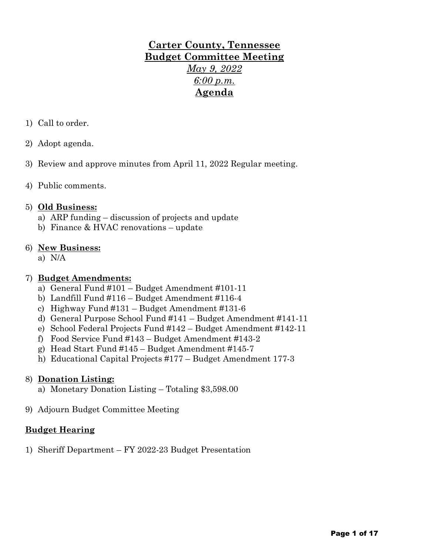# **Carter County, Tennessee Budget Committee Meeting** *May 9, 2022 6:00 p.m.* **Agenda**

- 1) Call to order.
- 2) Adopt agenda.
- 3) Review and approve minutes from April 11, 2022 Regular meeting.
- 4) Public comments.

#### 5) **Old Business:**

- a) ARP funding discussion of projects and update
- b) Finance & HVAC renovations update

#### 6) **New Business:**

a) N/A

### 7) **Budget Amendments:**

- a) General Fund #101 Budget Amendment #101-11
- b) Landfill Fund #116 Budget Amendment #116-4
- c) Highway Fund #131 Budget Amendment #131-6
- d) General Purpose School Fund #141 Budget Amendment #141-11
- e) School Federal Projects Fund #142 Budget Amendment #142-11
- f) Food Service Fund #143 Budget Amendment #143-2
- g) Head Start Fund #145 Budget Amendment #145-7
- h) Educational Capital Projects #177 Budget Amendment 177-3

# 8) **Donation Listing:**

- a) Monetary Donation Listing Totaling \$3,598.00
- 9) Adjourn Budget Committee Meeting

# **Budget Hearing**

1) Sheriff Department – FY 2022-23 Budget Presentation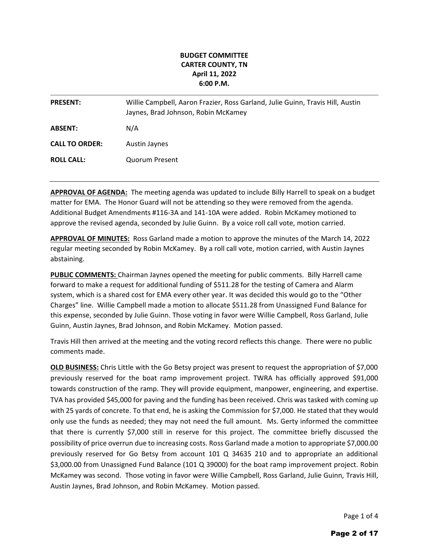#### **BUDGET COMMITTEE CARTER COUNTY, TN April 11, 2022 6:00 P.M.**

| <b>PRESENT:</b>       | Willie Campbell, Aaron Frazier, Ross Garland, Julie Guinn, Travis Hill, Austin<br>Jaynes, Brad Johnson, Robin McKamey |
|-----------------------|-----------------------------------------------------------------------------------------------------------------------|
| <b>ABSENT:</b>        | N/A                                                                                                                   |
| <b>CALL TO ORDER:</b> | Austin Jaynes                                                                                                         |
| <b>ROLL CALL:</b>     | <b>Quorum Present</b>                                                                                                 |

**APPROVAL OF AGENDA:** The meeting agenda was updated to include Billy Harrell to speak on a budget matter for EMA. The Honor Guard will not be attending so they were removed from the agenda. Additional Budget Amendments #116-3A and 141-10A were added. Robin McKamey motioned to approve the revised agenda, seconded by Julie Guinn. By a voice roll call vote, motion carried.

**APPROVAL OF MINUTES:** Ross Garland made a motion to approve the minutes of the March 14, 2022 regular meeting seconded by Robin McKamey. By a roll call vote, motion carried, with Austin Jaynes abstaining.

**PUBLIC COMMENTS:** Chairman Jaynes opened the meeting for public comments. Billy Harrell came forward to make a request for additional funding of \$511.28 for the testing of Camera and Alarm system, which is a shared cost for EMA every other year. It was decided this would go to the "Other Charges" line. Willie Campbell made a motion to allocate \$511.28 from Unassigned Fund Balance for this expense, seconded by Julie Guinn. Those voting in favor were Willie Campbell, Ross Garland, Julie Guinn, Austin Jaynes, Brad Johnson, and Robin McKamey. Motion passed.

Travis Hill then arrived at the meeting and the voting record reflects this change. There were no public comments made.

**OLD BUSINESS:** Chris Little with the Go Betsy project was present to request the appropriation of \$7,000 previously reserved for the boat ramp improvement project. TWRA has officially approved \$91,000 towards construction of the ramp. They will provide equipment, manpower, engineering, and expertise. TVA has provided \$45,000 for paving and the funding has been received. Chris was tasked with coming up with 25 yards of concrete. To that end, he is asking the Commission for \$7,000. He stated that they would only use the funds as needed; they may not need the full amount. Ms. Gerty informed the committee that there is currently \$7,000 still in reserve for this project. The committee briefly discussed the possibility of price overrun due to increasing costs. Ross Garland made a motion to appropriate \$7,000.00 previously reserved for Go Betsy from account 101 Q 34635 210 and to appropriate an additional \$3,000.00 from Unassigned Fund Balance (101 Q 39000) for the boat ramp improvement project. Robin McKamey was second. Those voting in favor were Willie Campbell, Ross Garland, Julie Guinn, Travis Hill, Austin Jaynes, Brad Johnson, and Robin McKamey. Motion passed.

Page 1 of 4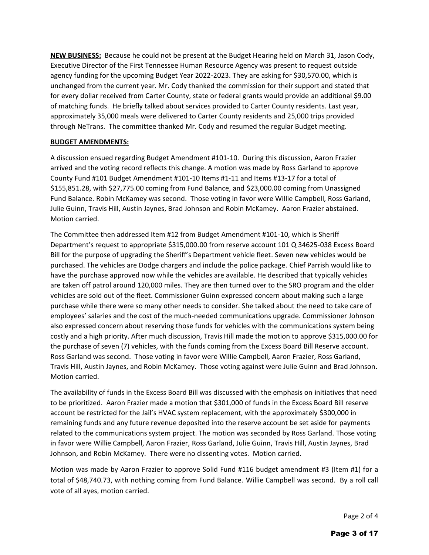**NEW BUSINESS:** Because he could not be present at the Budget Hearing held on March 31, Jason Cody, Executive Director of the First Tennessee Human Resource Agency was present to request outside agency funding for the upcoming Budget Year 2022-2023. They are asking for \$30,570.00, which is unchanged from the current year. Mr. Cody thanked the commission for their support and stated that for every dollar received from Carter County, state or federal grants would provide an additional \$9.00 of matching funds. He briefly talked about services provided to Carter County residents. Last year, approximately 35,000 meals were delivered to Carter County residents and 25,000 trips provided through NeTrans. The committee thanked Mr. Cody and resumed the regular Budget meeting.

#### **BUDGET AMENDMENTS:**

A discussion ensued regarding Budget Amendment #101-10. During this discussion, Aaron Frazier arrived and the voting record reflects this change. A motion was made by Ross Garland to approve County Fund #101 Budget Amendment #101-10 Items #1-11 and Items #13-17 for a total of \$155,851.28, with \$27,775.00 coming from Fund Balance, and \$23,000.00 coming from Unassigned Fund Balance. Robin McKamey was second. Those voting in favor were Willie Campbell, Ross Garland, Julie Guinn, Travis Hill, Austin Jaynes, Brad Johnson and Robin McKamey. Aaron Frazier abstained. Motion carried.

The Committee then addressed Item #12 from Budget Amendment #101-10, which is Sheriff Department's request to appropriate \$315,000.00 from reserve account 101 Q 34625-038 Excess Board Bill for the purpose of upgrading the Sheriff's Department vehicle fleet. Seven new vehicles would be purchased. The vehicles are Dodge chargers and include the police package. Chief Parrish would like to have the purchase approved now while the vehicles are available. He described that typically vehicles are taken off patrol around 120,000 miles. They are then turned over to the SRO program and the older vehicles are sold out of the fleet. Commissioner Guinn expressed concern about making such a large purchase while there were so many other needs to consider. She talked about the need to take care of employees' salaries and the cost of the much-needed communications upgrade. Commissioner Johnson also expressed concern about reserving those funds for vehicles with the communications system being costly and a high priority. After much discussion, Travis Hill made the motion to approve \$315,000.00 for the purchase of seven (7) vehicles, with the funds coming from the Excess Board Bill Reserve account. Ross Garland was second. Those voting in favor were Willie Campbell, Aaron Frazier, Ross Garland, Travis Hill, Austin Jaynes, and Robin McKamey. Those voting against were Julie Guinn and Brad Johnson. Motion carried.

The availability of funds in the Excess Board Bill was discussed with the emphasis on initiatives that need to be prioritized. Aaron Frazier made a motion that \$301,000 of funds in the Excess Board Bill reserve account be restricted for the Jail's HVAC system replacement, with the approximately \$300,000 in remaining funds and any future revenue deposited into the reserve account be set aside for payments related to the communications system project. The motion was seconded by Ross Garland. Those voting in favor were Willie Campbell, Aaron Frazier, Ross Garland, Julie Guinn, Travis Hill, Austin Jaynes, Brad Johnson, and Robin McKamey. There were no dissenting votes. Motion carried.

Motion was made by Aaron Frazier to approve Solid Fund #116 budget amendment #3 (Item #1) for a total of \$48,740.73, with nothing coming from Fund Balance. Willie Campbell was second. By a roll call vote of all ayes, motion carried.

Page 2 of 4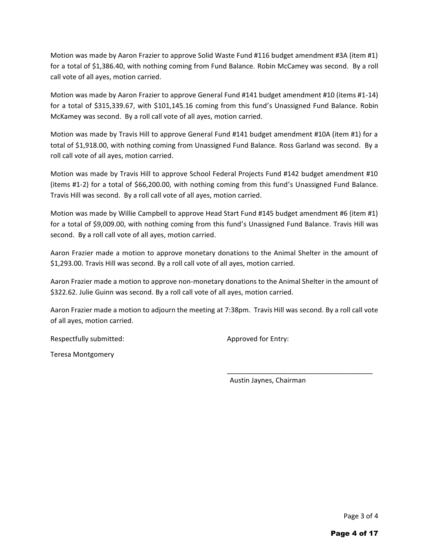Motion was made by Aaron Frazier to approve Solid Waste Fund #116 budget amendment #3A (item #1) for a total of \$1,386.40, with nothing coming from Fund Balance. Robin McCamey was second. By a roll call vote of all ayes, motion carried.

Motion was made by Aaron Frazier to approve General Fund #141 budget amendment #10 (items #1-14) for a total of \$315,339.67, with \$101,145.16 coming from this fund's Unassigned Fund Balance. Robin McKamey was second. By a roll call vote of all ayes, motion carried.

Motion was made by Travis Hill to approve General Fund #141 budget amendment #10A (item #1) for a total of \$1,918.00, with nothing coming from Unassigned Fund Balance. Ross Garland was second. By a roll call vote of all ayes, motion carried.

Motion was made by Travis Hill to approve School Federal Projects Fund #142 budget amendment #10 (items #1-2) for a total of \$66,200.00, with nothing coming from this fund's Unassigned Fund Balance. Travis Hill was second. By a roll call vote of all ayes, motion carried.

Motion was made by Willie Campbell to approve Head Start Fund #145 budget amendment #6 (item #1) for a total of \$9,009.00, with nothing coming from this fund's Unassigned Fund Balance. Travis Hill was second. By a roll call vote of all ayes, motion carried.

Aaron Frazier made a motion to approve monetary donations to the Animal Shelter in the amount of \$1,293.00. Travis Hill was second. By a roll call vote of all ayes, motion carried.

Aaron Frazier made a motion to approve non-monetary donations to the Animal Shelter in the amount of \$322.62. Julie Guinn was second. By a roll call vote of all ayes, motion carried.

Aaron Frazier made a motion to adjourn the meeting at 7:38pm. Travis Hill was second. By a roll call vote of all ayes, motion carried.

Respectfully submitted: Approved for Entry:

Teresa Montgomery

Austin Jaynes, Chairman

\_\_\_\_\_\_\_\_\_\_\_\_\_\_\_\_\_\_\_\_\_\_\_\_\_\_\_\_\_\_\_\_\_\_\_\_\_\_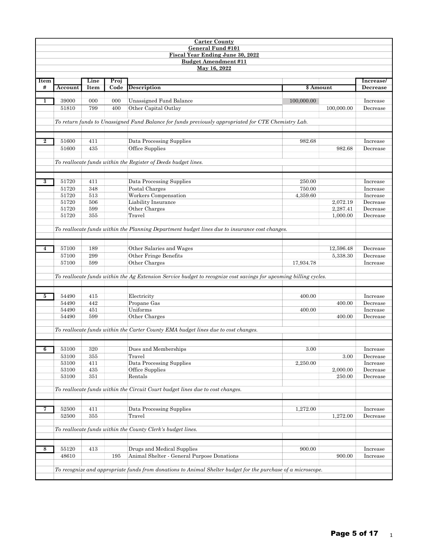| <b>Carter County</b>    |                |            |      |                                                                                                                   |            |            |                      |  |  |
|-------------------------|----------------|------------|------|-------------------------------------------------------------------------------------------------------------------|------------|------------|----------------------|--|--|
|                         |                |            |      | General Fund #101                                                                                                 |            |            |                      |  |  |
|                         |                |            |      | <b>Fiscal Year Ending June 30, 2022</b>                                                                           |            |            |                      |  |  |
|                         |                |            |      | <b>Budget Amendment #11</b>                                                                                       |            |            |                      |  |  |
|                         |                |            |      | May 16, 2022                                                                                                      |            |            |                      |  |  |
| Item                    |                | Line       | Proj |                                                                                                                   |            |            | Increase/            |  |  |
| #                       | Account        | Item       | Code | <b>Description</b>                                                                                                | \$ Amount  |            | <b>Decrease</b>      |  |  |
|                         |                |            |      |                                                                                                                   |            |            |                      |  |  |
| 1                       | 39000          | 000        | 000  | Unassigned Fund Balance                                                                                           | 100,000.00 |            | Increase             |  |  |
|                         | 51810          | 799        | 400  | Other Capital Outlay                                                                                              |            | 100,000.00 | Decrease             |  |  |
|                         |                |            |      |                                                                                                                   |            |            |                      |  |  |
|                         |                |            |      | To return funds to Unassigned Fund Balance for funds previously appropriated for CTE Chemistry Lab.               |            |            |                      |  |  |
|                         |                |            |      |                                                                                                                   |            |            |                      |  |  |
|                         |                |            |      |                                                                                                                   |            |            |                      |  |  |
| $\bf{2}$                | 51600          | 411        |      | Data Processing Supplies                                                                                          | 982.68     |            | Increase             |  |  |
|                         | 51600          | 435        |      | Office Supplies                                                                                                   |            | 982.68     | Decrease             |  |  |
|                         |                |            |      |                                                                                                                   |            |            |                      |  |  |
|                         |                |            |      | To reallocate funds within the Register of Deeds budget lines.                                                    |            |            |                      |  |  |
|                         |                |            |      |                                                                                                                   |            |            |                      |  |  |
|                         |                |            |      |                                                                                                                   |            |            |                      |  |  |
| $\overline{\mathbf{3}}$ | 51720          | 411        |      | Data Processing Supplies                                                                                          | 250.00     |            | Increase             |  |  |
|                         | 51720          | 348        |      | Postal Charges                                                                                                    | 750.00     |            | Increase             |  |  |
|                         | 51720          | 513        |      | Workers Compensation                                                                                              | 4,359.60   |            | Increase             |  |  |
|                         | 51720          | 506        |      | Liability Insurance                                                                                               |            | 2,072.19   | Decrease             |  |  |
|                         | 51720<br>51720 | 599<br>355 |      | Other Charges<br>Travel                                                                                           |            | 2,287.41   | Decrease<br>Decrease |  |  |
|                         |                |            |      |                                                                                                                   |            | 1,000.00   |                      |  |  |
|                         |                |            |      | To reallocate funds within the Planning Department budget lines due to insurance cost changes.                    |            |            |                      |  |  |
|                         |                |            |      |                                                                                                                   |            |            |                      |  |  |
|                         |                |            |      |                                                                                                                   |            |            |                      |  |  |
| 4                       | 57100          | 189        |      | Other Salaries and Wages                                                                                          |            | 12,596.48  | Decrease             |  |  |
|                         | 57100          | 299        |      | Other Fringe Benefits                                                                                             |            | 5,338.30   | Decrease             |  |  |
|                         | 57100          | 599        |      | Other Charges                                                                                                     | 17,934.78  |            | Increase             |  |  |
|                         |                |            |      |                                                                                                                   |            |            |                      |  |  |
|                         |                |            |      | To reallocate funds within the Ag Extension Service budget to recognize cost savings for upcoming billing cycles. |            |            |                      |  |  |
|                         |                |            |      |                                                                                                                   |            |            |                      |  |  |
|                         |                |            |      |                                                                                                                   |            |            |                      |  |  |
| 5                       | 54490          | 415        |      | Electricity                                                                                                       | 400.00     |            | Increase             |  |  |
|                         | 54490          | 442        |      | Propane Gas                                                                                                       |            | 400.00     | Decrease             |  |  |
|                         | 54490          | 451        |      | Uniforms                                                                                                          | 400.00     |            | Increase             |  |  |
|                         | 54490          | 599        |      | Other Charges                                                                                                     |            | 400.00     | Decrease             |  |  |
|                         |                |            |      |                                                                                                                   |            |            |                      |  |  |
|                         |                |            |      | To reallocate funds within the Carter County EMA budget lines due to cost changes.                                |            |            |                      |  |  |
|                         |                |            |      |                                                                                                                   |            |            |                      |  |  |
| 6                       | 53100          | 320        |      | Dues and Memberships                                                                                              | 3.00       |            | Increase             |  |  |
|                         | 53100          | 355        |      | Travel                                                                                                            |            | 3.00       | Decrease             |  |  |
|                         | 53100          | 411        |      | Data Processing Supplies                                                                                          | 2,250.00   |            | Increase             |  |  |
|                         | 53100          | 435        |      | Office Supplies                                                                                                   |            | 2,000.00   | Decrease             |  |  |
|                         | 53100          | 351        |      | Rentals                                                                                                           |            | 250.00     | Decrease             |  |  |
|                         |                |            |      |                                                                                                                   |            |            |                      |  |  |
|                         |                |            |      | To reallocate funds within the Circuit Court budget lines due to cost changes.                                    |            |            |                      |  |  |
|                         |                |            |      |                                                                                                                   |            |            |                      |  |  |
|                         |                |            |      |                                                                                                                   |            |            |                      |  |  |
| 7                       | 52500          | 411        |      | Data Processing Supplies                                                                                          | 1,272.00   |            | Increase             |  |  |
|                         | 52500          | 355        |      | Travel                                                                                                            |            | 1,272.00   | Decrease             |  |  |
|                         |                |            |      |                                                                                                                   |            |            |                      |  |  |
|                         |                |            |      | To reallocate funds within the County Clerk's budget lines.                                                       |            |            |                      |  |  |
|                         |                |            |      |                                                                                                                   |            |            |                      |  |  |
| 8                       | 55120          | 413        |      | Drugs and Medical Supplies                                                                                        | 900.00     |            | Increase             |  |  |
|                         | 48610          |            | 195  |                                                                                                                   |            |            | Increase             |  |  |
|                         |                |            |      | Animal Shelter - General Purpose Donations<br>900.00                                                              |            |            |                      |  |  |
|                         |                |            |      | To recognize and appropriate funds from donations to Animal Shelter budget for the purchase of a microscope.      |            |            |                      |  |  |
|                         |                |            |      |                                                                                                                   |            |            |                      |  |  |
|                         |                |            |      |                                                                                                                   |            |            |                      |  |  |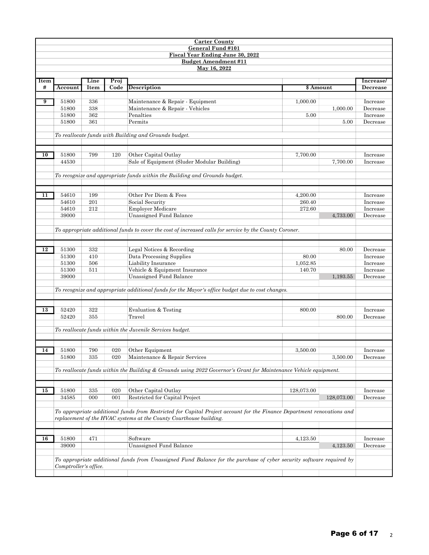|      |                       |            |      | <b>Carter County</b>                                                                                                   |            |            |                      |  |  |  |  |  |
|------|-----------------------|------------|------|------------------------------------------------------------------------------------------------------------------------|------------|------------|----------------------|--|--|--|--|--|
|      |                       |            |      | General Fund #101                                                                                                      |            |            |                      |  |  |  |  |  |
|      |                       |            |      | Fiscal Year Ending June 30, 2022<br><b>Budget Amendment #11</b>                                                        |            |            |                      |  |  |  |  |  |
|      |                       |            |      | May 16, 2022                                                                                                           |            |            |                      |  |  |  |  |  |
|      |                       |            |      |                                                                                                                        |            |            |                      |  |  |  |  |  |
| Item |                       | Line       | Proj |                                                                                                                        |            |            | Increase/            |  |  |  |  |  |
| #    | Account               | Item       | Code | <b>Description</b>                                                                                                     | \$ Amount  |            | Decrease             |  |  |  |  |  |
| 9    | 51800                 | 336        |      | Maintenance & Repair - Equipment                                                                                       | 1,000.00   |            | Increase             |  |  |  |  |  |
|      | 51800                 | 338        |      | Maintenance & Repair - Vehicles                                                                                        |            | 1,000.00   | Decrease             |  |  |  |  |  |
|      | 51800                 | 362        |      | Penalties                                                                                                              | 5.00       |            | Increase             |  |  |  |  |  |
|      | 51800                 | 361        |      | Permits                                                                                                                |            | 5.00       | Decrease             |  |  |  |  |  |
|      |                       |            |      |                                                                                                                        |            |            |                      |  |  |  |  |  |
|      |                       |            |      | To reallocate funds with Building and Grounds budget.                                                                  |            |            |                      |  |  |  |  |  |
|      |                       |            |      |                                                                                                                        |            |            |                      |  |  |  |  |  |
|      |                       |            |      |                                                                                                                        |            |            |                      |  |  |  |  |  |
| 10   | 51800                 | 799        | 120  | Other Capital Outlay                                                                                                   | 7,700.00   |            | Increase             |  |  |  |  |  |
|      | 44530                 |            |      | Sale of Equipment (Sluder Modular Building)                                                                            |            | 7,700.00   | Increase             |  |  |  |  |  |
|      |                       |            |      | To recognize and appropriate funds within the Building and Grounds budget.                                             |            |            |                      |  |  |  |  |  |
|      |                       |            |      |                                                                                                                        |            |            |                      |  |  |  |  |  |
|      |                       |            |      |                                                                                                                        |            |            |                      |  |  |  |  |  |
| 11   | 54610                 | 199        |      | Other Per Diem & Fees                                                                                                  | 4,200.00   |            | Increase             |  |  |  |  |  |
|      | 54610                 | 201        |      | Social Security                                                                                                        | 260.40     |            | Increase             |  |  |  |  |  |
|      | 54610                 | 212        |      | <b>Employer Medicare</b>                                                                                               | 272.60     |            | Increase             |  |  |  |  |  |
|      | 39000                 |            |      | Unassigned Fund Balance                                                                                                |            | 4,733.00   | Decrease             |  |  |  |  |  |
|      |                       |            |      |                                                                                                                        |            |            |                      |  |  |  |  |  |
|      |                       |            |      | To appropriate additional funds to cover the cost of increased calls for service by the County Coroner.                |            |            |                      |  |  |  |  |  |
|      |                       |            |      |                                                                                                                        |            |            |                      |  |  |  |  |  |
| 12   | 51300                 | 332        |      | Legal Notices & Recording                                                                                              |            | 80.00      | Decrease             |  |  |  |  |  |
|      | 51300                 | 410        |      | Data Processing Supplies                                                                                               | 80.00      |            | Increase             |  |  |  |  |  |
|      | 51300                 | 506        |      | Liability Insurance                                                                                                    | 1,052.85   |            | Increase             |  |  |  |  |  |
|      | 51300                 | 511        |      | Vehicle & Equipment Insurance                                                                                          | 140.70     |            | Increase             |  |  |  |  |  |
|      | 39000                 |            |      | Unassigned Fund Balance                                                                                                |            | 1,193.55   | Decrease             |  |  |  |  |  |
|      |                       |            |      |                                                                                                                        |            |            |                      |  |  |  |  |  |
|      |                       |            |      | To recognize and appropriate additional funds for the Mayor's office budget due to cost changes.                       |            |            |                      |  |  |  |  |  |
|      |                       |            |      |                                                                                                                        |            |            |                      |  |  |  |  |  |
|      |                       |            |      |                                                                                                                        | 800.00     |            |                      |  |  |  |  |  |
| 13   | 52420<br>52420        | 322<br>355 |      | Evaluation & Testing<br>Travel                                                                                         |            | 800.00     | Increase<br>Decrease |  |  |  |  |  |
|      |                       |            |      |                                                                                                                        |            |            |                      |  |  |  |  |  |
|      |                       |            |      | To reallocate funds within the Juvenile Services budget.                                                               |            |            |                      |  |  |  |  |  |
|      |                       |            |      |                                                                                                                        |            |            |                      |  |  |  |  |  |
|      |                       |            |      |                                                                                                                        |            |            |                      |  |  |  |  |  |
| 14   | 51800                 | 790        | 020  | Other Equipment                                                                                                        | 3,500.00   |            | Increase             |  |  |  |  |  |
|      | 51800                 | 335        | 020  | Maintenance & Repair Services                                                                                          |            | 3,500.00   | Decrease             |  |  |  |  |  |
|      |                       |            |      |                                                                                                                        |            |            |                      |  |  |  |  |  |
|      |                       |            |      | To reallocate funds within the Building & Grounds using 2022 Governor's Grant for Maintenance Vehicle equipment.       |            |            |                      |  |  |  |  |  |
|      |                       |            |      |                                                                                                                        |            |            |                      |  |  |  |  |  |
| 15   | 51800                 | 335        | 020  | Other Capital Outlay                                                                                                   | 128,073.00 |            | Increase             |  |  |  |  |  |
|      | 34585                 | 000        | 001  | Restricted for Capital Project                                                                                         |            | 128,073.00 | Decrease             |  |  |  |  |  |
|      |                       |            |      |                                                                                                                        |            |            |                      |  |  |  |  |  |
|      |                       |            |      | To appropriate additional funds from Restricted for Capital Project account for the Finance Department renovations and |            |            |                      |  |  |  |  |  |
|      |                       |            |      | replacement of the HVAC systems at the County Courthouse building.                                                     |            |            |                      |  |  |  |  |  |
|      |                       |            |      |                                                                                                                        |            |            |                      |  |  |  |  |  |
|      |                       |            |      |                                                                                                                        |            |            |                      |  |  |  |  |  |
| 16   | 51800                 | 471        |      | Software                                                                                                               | 4,123.50   |            | Increase             |  |  |  |  |  |
|      | 39000                 |            |      | Unassigned Fund Balance                                                                                                |            | 4,123.50   | Decrease             |  |  |  |  |  |
|      |                       |            |      |                                                                                                                        |            |            |                      |  |  |  |  |  |
|      |                       |            |      | To appropriate additional funds from Unassigned Fund Balance for the purchase of cyber security software required by   |            |            |                      |  |  |  |  |  |
|      | Comptroller's office. |            |      |                                                                                                                        |            |            |                      |  |  |  |  |  |
|      |                       |            |      |                                                                                                                        |            |            |                      |  |  |  |  |  |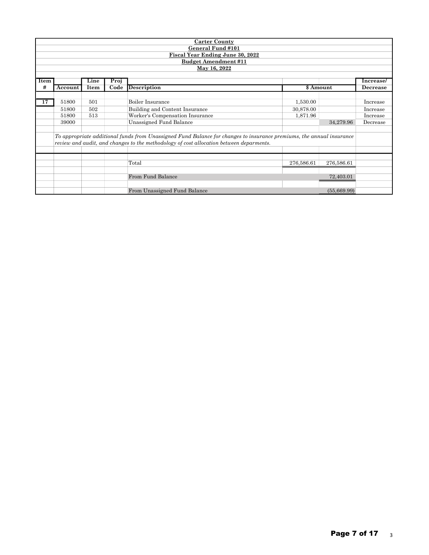|      | <b>Carter County</b>                                                   |      |      |                                                                                                                      |            |             |           |  |  |  |  |  |
|------|------------------------------------------------------------------------|------|------|----------------------------------------------------------------------------------------------------------------------|------------|-------------|-----------|--|--|--|--|--|
|      |                                                                        |      |      | General Fund #101                                                                                                    |            |             |           |  |  |  |  |  |
|      | <b>Fiscal Year Ending June 30, 2022</b><br><b>Budget Amendment #11</b> |      |      |                                                                                                                      |            |             |           |  |  |  |  |  |
|      | May 16, 2022                                                           |      |      |                                                                                                                      |            |             |           |  |  |  |  |  |
|      |                                                                        |      |      |                                                                                                                      |            |             |           |  |  |  |  |  |
| Item |                                                                        | Line | Proj |                                                                                                                      |            |             | Increase/ |  |  |  |  |  |
| #    | Account                                                                | Item | Code | <b>Description</b>                                                                                                   |            | \$ Amount   | Decrease  |  |  |  |  |  |
|      |                                                                        |      |      |                                                                                                                      |            |             |           |  |  |  |  |  |
| 17   | 51800                                                                  | 501  |      | Boiler Insurance                                                                                                     | 1,530.00   |             | Increase  |  |  |  |  |  |
|      | 51800                                                                  | 502  |      | Building and Content Insurance                                                                                       | 30,878.00  |             |           |  |  |  |  |  |
|      | 51800                                                                  | 513  |      | Worker's Compensation Insurance<br>1,871.96                                                                          |            |             |           |  |  |  |  |  |
|      | 39000                                                                  |      |      | Unassigned Fund Balance                                                                                              |            | 34,279.96   | Decrease  |  |  |  |  |  |
|      |                                                                        |      |      |                                                                                                                      |            |             |           |  |  |  |  |  |
|      |                                                                        |      |      | To appropriate additional funds from Unassigned Fund Balance for changes to insurance premiums, the annual insurance |            |             |           |  |  |  |  |  |
|      |                                                                        |      |      | review and audit, and changes to the methodology of cost allocation between deparments.                              |            |             |           |  |  |  |  |  |
|      |                                                                        |      |      |                                                                                                                      |            |             |           |  |  |  |  |  |
|      |                                                                        |      |      |                                                                                                                      |            |             |           |  |  |  |  |  |
|      |                                                                        |      |      | Total                                                                                                                | 276,586.61 | 276,586.61  |           |  |  |  |  |  |
|      |                                                                        |      |      |                                                                                                                      |            |             |           |  |  |  |  |  |
|      |                                                                        |      |      | From Fund Balance                                                                                                    |            | 72,403.01   |           |  |  |  |  |  |
|      |                                                                        |      |      |                                                                                                                      |            |             |           |  |  |  |  |  |
|      |                                                                        |      |      | From Unassigned Fund Balance                                                                                         |            | (55,669.99) |           |  |  |  |  |  |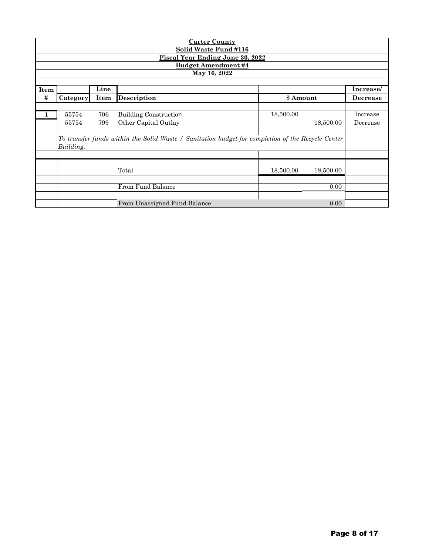|      |                            |      | <b>Carter County</b>                                                                              |           |           |                 |  |  |  |  |  |  |  |
|------|----------------------------|------|---------------------------------------------------------------------------------------------------|-----------|-----------|-----------------|--|--|--|--|--|--|--|
|      |                            |      | <b>Solid Waste Fund #116</b>                                                                      |           |           |                 |  |  |  |  |  |  |  |
|      |                            |      | <b>Fiscal Year Ending June 30, 2022</b>                                                           |           |           |                 |  |  |  |  |  |  |  |
|      | <b>Budget Amendment #4</b> |      |                                                                                                   |           |           |                 |  |  |  |  |  |  |  |
|      | May 16, 2022               |      |                                                                                                   |           |           |                 |  |  |  |  |  |  |  |
|      |                            |      |                                                                                                   |           |           |                 |  |  |  |  |  |  |  |
| Item |                            | Line |                                                                                                   |           |           | Increase/       |  |  |  |  |  |  |  |
| #    | Category                   | Item | <b>Description</b>                                                                                | \$ Amount |           | <b>Decrease</b> |  |  |  |  |  |  |  |
|      |                            |      |                                                                                                   |           |           |                 |  |  |  |  |  |  |  |
| 1    | 55754                      | 706  | <b>Building Construction</b>                                                                      | 18,500.00 |           | Increase        |  |  |  |  |  |  |  |
|      | 55754                      | 799  | Other Capital Outlay                                                                              |           | 18,500.00 | Decrease        |  |  |  |  |  |  |  |
|      |                            |      |                                                                                                   |           |           |                 |  |  |  |  |  |  |  |
|      |                            |      | To transfer funds within the Solid Waste / Sanitation budget for completion of the Recycle Center |           |           |                 |  |  |  |  |  |  |  |
|      | Building.                  |      |                                                                                                   |           |           |                 |  |  |  |  |  |  |  |
|      |                            |      |                                                                                                   |           |           |                 |  |  |  |  |  |  |  |
|      |                            |      | Total                                                                                             | 18,500.00 | 18,500.00 |                 |  |  |  |  |  |  |  |
|      |                            |      |                                                                                                   |           |           |                 |  |  |  |  |  |  |  |
|      |                            |      | From Fund Balance                                                                                 |           | 0.00      |                 |  |  |  |  |  |  |  |
|      |                            |      |                                                                                                   |           |           |                 |  |  |  |  |  |  |  |
|      |                            |      | From Unassigned Fund Balance                                                                      |           | 0.00      |                 |  |  |  |  |  |  |  |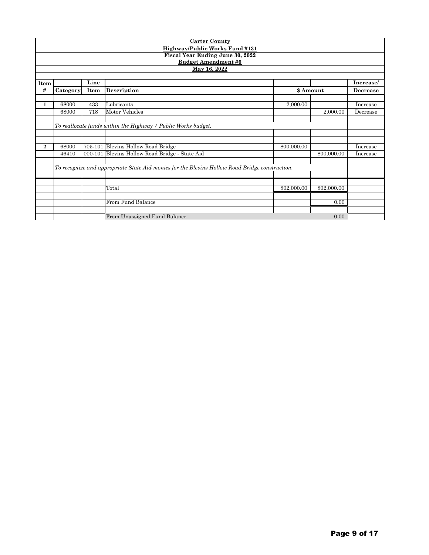|          |                                                               |      | <b>Carter County</b>                                                                           |            |            |           |  |  |  |
|----------|---------------------------------------------------------------|------|------------------------------------------------------------------------------------------------|------------|------------|-----------|--|--|--|
|          |                                                               |      | Highway/Public Works Fund #131                                                                 |            |            |           |  |  |  |
|          |                                                               |      | <b>Fiscal Year Ending June 30, 2022</b>                                                        |            |            |           |  |  |  |
|          |                                                               |      | <b>Budget Amendment #6</b>                                                                     |            |            |           |  |  |  |
|          |                                                               |      | May 16, 2022                                                                                   |            |            |           |  |  |  |
|          |                                                               | Line |                                                                                                |            |            | Increase/ |  |  |  |
| Item     |                                                               |      |                                                                                                |            |            |           |  |  |  |
| #        | Category                                                      | Item | <b>Description</b>                                                                             |            | \$ Amount  | Decrease  |  |  |  |
| 1        | 68000                                                         | 433  | Lubricants                                                                                     | 2,000.00   |            | Increase  |  |  |  |
|          | 68000                                                         | 718  | Motor Vehicles                                                                                 |            | 2,000.00   | Decrease  |  |  |  |
|          |                                                               |      |                                                                                                |            |            |           |  |  |  |
|          | To reallocate funds within the Highway / Public Works budget. |      |                                                                                                |            |            |           |  |  |  |
|          |                                                               |      |                                                                                                |            |            |           |  |  |  |
|          |                                                               |      |                                                                                                |            |            |           |  |  |  |
| $\bf{2}$ | 68000                                                         |      | 705-101 Blevins Hollow Road Bridge                                                             | 800,000.00 |            | Increase  |  |  |  |
|          | 46410                                                         |      | 000-101 Blevins Hollow Road Bridge - State Aid                                                 |            | 800,000.00 | Increase  |  |  |  |
|          |                                                               |      |                                                                                                |            |            |           |  |  |  |
|          |                                                               |      | To recognize and appropriate State Aid monies for the Blevins Hollow Road Bridge construction. |            |            |           |  |  |  |
|          |                                                               |      |                                                                                                |            |            |           |  |  |  |
|          |                                                               |      |                                                                                                |            |            |           |  |  |  |
|          |                                                               |      | Total                                                                                          | 802,000.00 | 802,000.00 |           |  |  |  |
|          |                                                               |      |                                                                                                |            |            |           |  |  |  |
|          |                                                               |      | From Fund Balance                                                                              |            | 0.00       |           |  |  |  |
|          |                                                               |      |                                                                                                |            |            |           |  |  |  |
|          |                                                               |      | From Unassigned Fund Balance                                                                   |            | 0.00       |           |  |  |  |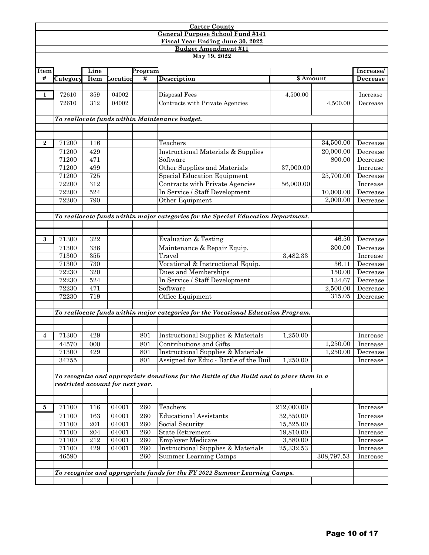#### **Carter County General Purpose School Fund #141 Fiscal Year Ending June 30, 2022 Budget Amendment #11**

**May 19, 2022**

**Item** 

| tem            |          | Line |          | Program |                                                |           |           | Increase/ |
|----------------|----------|------|----------|---------|------------------------------------------------|-----------|-----------|-----------|
| #              | Category | Item | Locatior | #       | Description                                    | \$ Amount |           | Decrease  |
|                |          |      |          |         |                                                |           |           |           |
|                | 72610    | 359  | 04002    |         | Disposal Fees                                  | 4,500.00  |           | Increase  |
|                | 72610    | 312  | 04002    |         | Contracts with Private Agencies                |           | 4,500.00  | Decrease  |
|                |          |      |          |         |                                                |           |           |           |
|                |          |      |          |         | To reallocate funds within Maintenance budget. |           |           |           |
|                |          |      |          |         |                                                |           |           |           |
|                |          |      |          |         |                                                |           |           |           |
| $\overline{2}$ | 71200    | 116  |          |         | Teachers                                       |           | 34,500.00 | Decrease  |
|                | 71200    | 429  |          |         | Instructional Materials & Supplies             |           | 20,000.00 | Decrease  |
|                | 71200    | 471  |          |         | Software                                       |           | 800.00    | Decrease  |
|                | 71200    | 499  |          |         | Other Supplies and Materials                   | 37,000.00 |           | Increase  |
|                | 71200    | 725  |          |         | Special Education Equipment                    |           | 25,700.00 | Decrease  |
|                | 72200    | 312  |          |         | Contracts with Private Agencies                | 56,000.00 |           | Increase  |
|                | 72200    | 524  |          |         | In Service / Staff Development                 |           | 10,000.00 | Decrease  |
|                | 72200    | 790  |          |         | Other Equipment                                |           | 2,000.00  | Decrease  |
|                |          |      |          |         |                                                |           |           |           |

*To reallocate funds within major categories for the Special Education Department.*

| 3 | 71300                             | 322 |       |     | Evaluation & Testing                                                                      |            | 46.50      | Decrease |
|---|-----------------------------------|-----|-------|-----|-------------------------------------------------------------------------------------------|------------|------------|----------|
|   | 71300                             | 336 |       |     | Maintenance & Repair Equip.                                                               |            | 300.00     | Decrease |
|   | 71300                             | 355 |       |     | Travel                                                                                    | 3,482.33   |            | Increase |
|   | 71300                             | 730 |       |     | Vocational & Instructional Equip.                                                         |            | 36.11      | Decrease |
|   | 72230                             | 320 |       |     | Dues and Memberships                                                                      |            | 150.00     | Decrease |
|   | 72230                             | 524 |       |     | In Service / Staff Development                                                            |            | 134.67     | Decrease |
|   | 72230                             | 471 |       |     | Software                                                                                  |            | 2,500.00   | Decrease |
|   | 72230                             | 719 |       |     | Office Equipment                                                                          |            | 315.05     | Decrease |
|   |                                   |     |       |     |                                                                                           |            |            |          |
|   |                                   |     |       |     | To reallocate funds within major categories for the Vocational Education Program.         |            |            |          |
|   |                                   |     |       |     |                                                                                           |            |            |          |
|   |                                   |     |       |     |                                                                                           |            |            |          |
| 4 | 71300                             | 429 |       | 801 | Instructional Supplies & Materials                                                        | 1,250.00   |            | Increase |
|   | 44570                             | 000 |       | 801 | Contributions and Gifts                                                                   |            | 1,250.00   | Increase |
|   | 71300                             | 429 |       | 801 | Instructional Supplies & Materials                                                        |            | 1,250.00   | Decrease |
|   | 34755                             |     |       | 801 | Assigned for Educ - Battle of the Buil                                                    | 1,250.00   |            | Increase |
|   |                                   |     |       |     |                                                                                           |            |            |          |
|   |                                   |     |       |     | To recognize and appropriate donations for the Battle of the Build and to place them in a |            |            |          |
|   | restricted account for next year. |     |       |     |                                                                                           |            |            |          |
|   |                                   |     |       |     |                                                                                           |            |            |          |
|   |                                   |     |       |     |                                                                                           |            |            |          |
| 5 | 71100                             | 116 | 04001 | 260 | Teachers                                                                                  | 212,000.00 |            | Increase |
|   | 71100                             | 163 | 04001 | 260 | <b>Educational Assistants</b>                                                             | 32,550.00  |            | Increase |
|   | 71100                             | 201 | 04001 | 260 | Social Security                                                                           | 15,525.00  |            | Increase |
|   | 71100                             | 204 | 04001 | 260 | <b>State Retirement</b>                                                                   | 19,810.00  |            | Increase |
|   | 71100                             | 212 | 04001 | 260 | <b>Employer Medicare</b>                                                                  | 3,580.00   |            | Increase |
|   | 71100                             | 429 | 04001 | 260 | Instructional Supplies & Materials                                                        | 25,332.53  |            | Increase |
|   | 46590                             |     |       | 260 | Summer Learning Camps                                                                     |            | 308,797.53 | Increase |

*To recognize and appropriate funds for the FY 2022 Summer Learning Camps.*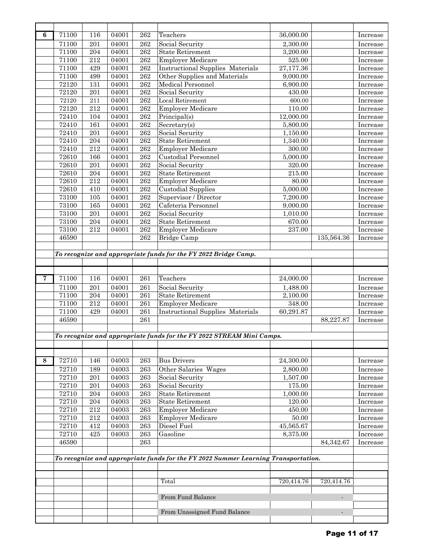| 6           | 71100          | 116          | 04001          | 262              | Teachers                                                                           | 36,000.00             |                          | Increase             |
|-------------|----------------|--------------|----------------|------------------|------------------------------------------------------------------------------------|-----------------------|--------------------------|----------------------|
|             | 71100          | 201          | 04001          | 262              | Social Security                                                                    | 2,300.00              |                          | Increase             |
|             | 71100          | 204          | 04001          | 262              | <b>State Retirement</b>                                                            | 3,200.00              |                          | Increase             |
|             | 71100          | 212          | 04001          | 262              | <b>Employer Medicare</b>                                                           | 525.00                |                          | Increase             |
|             | 71100          | 429          | 04001          | 262              | <b>Instructional Supplies Materials</b>                                            | 27,177.36             |                          | Increase             |
|             | 71100          | 499          | 04001          | 262              | Other Supplies and Materials                                                       | 9,000.00              |                          | Increase             |
|             | 72120          | 131          | 04001          | 262              | <b>Medical Personnel</b>                                                           | 6,900.00              |                          | Increase             |
|             | 72120          | 201          | 04001          | 262              | Social Security                                                                    | 430.00                |                          | Increase             |
|             | 72120          | 211          | 04001          | 262              | Local Retirement                                                                   | 600.00                |                          |                      |
|             | 72120          | 212          |                | 262              |                                                                                    | 110.00                |                          | Increase             |
|             |                |              | 04001          |                  | <b>Employer Medicare</b>                                                           |                       |                          | Increase             |
|             | 72410          | 104          | 04001          | 262              | Principal(s)                                                                       | 12,000.00             |                          | Increase             |
|             | 72410          | 161          | 04001          | 262              | Secretary(s)                                                                       | 5,800.00              |                          | Increase             |
|             | 72410          | 201          | 04001          | 262              | Social Security                                                                    | 1,150.00              |                          | Increase             |
|             | 72410          | 204          | 04001          | 262              | <b>State Retirement</b>                                                            | 1,340.00              |                          | Increase             |
|             | 72410          | 212          | 04001          | 262              | <b>Employer Medicare</b>                                                           | 300.00                |                          | <b>Increase</b>      |
|             | 72610          | 166          | 04001          | 262              | <b>Custodial Personnel</b>                                                         | 5,000.00              |                          | Increase             |
|             | 72610          | 201          | 04001          | 262              | Social Security                                                                    | 320.00                |                          | Increase             |
|             | 72610          | $\,204$      | 04001          | 262              | <b>State Retirement</b>                                                            | 215.00                |                          | Increase             |
|             | 72610          | 212          | 04001          | 262              | <b>Employer Medicare</b>                                                           | 80.00                 |                          | Increase             |
|             | 72610          | 410          | 04001          | 262              | Custodial Supplies                                                                 | 5,000.00              |                          | Increase             |
|             | 73100          | 105          | 04001          | 262              | Supervisor / Director                                                              | 7,200.00              |                          | Increase             |
|             | 73100          | 165          | 04001          | 262              | Cafeteria Personnel                                                                | 9,000.00              |                          | Increase             |
|             | 73100          | 201          | 04001          | 262              | Social Security                                                                    | 1,010.00              |                          | Increase             |
|             | 73100          | 204          | 04001          | 262              | <b>State Retirement</b>                                                            | 670.00                |                          | Increase             |
|             | 73100          | 212          | 04001          | 262              | <b>Employer Medicare</b>                                                           | 237.00                |                          | Increase             |
|             | 46590          |              |                | 262              | Bridge Camp                                                                        |                       | 135,564.36               | Increase             |
|             |                |              |                |                  |                                                                                    |                       |                          |                      |
|             |                |              |                |                  | To recognize and appropriate funds for the FY 2022 Bridge Camp.                    |                       |                          |                      |
|             |                |              |                |                  |                                                                                    |                       |                          |                      |
|             |                |              |                |                  |                                                                                    |                       |                          |                      |
| $\mathbf 7$ | 71100          | 116          | 04001          | $\overline{261}$ | Teachers                                                                           | 24,000.00             |                          | Increase             |
|             | 71100          | 201          | 04001          | 261              | Social Security                                                                    | 1,488.00              |                          | Increase             |
|             |                |              |                |                  |                                                                                    |                       |                          |                      |
|             | 71100          | 204          | 04001          | 261              | <b>State Retirement</b>                                                            | 2,100.00              |                          | Increase             |
|             | 71100          | $\bf 212$    | 04001          | ${\bf 261}$      | <b>Employer Medicare</b>                                                           | 348.00                |                          | Increase             |
|             | 71100          | 429          | 04001          | 261              | <b>Instructional Supplies Materials</b>                                            | 60,291.87             |                          | Increase             |
|             | 46590          |              |                | 261              |                                                                                    |                       | 88,227.87                | Increase             |
|             |                |              |                |                  |                                                                                    |                       |                          |                      |
|             |                |              |                |                  | To recognize and appropriate funds for the FY 2022 STREAM Mini Camps.              |                       |                          |                      |
|             |                |              |                |                  |                                                                                    |                       |                          |                      |
|             |                |              |                |                  |                                                                                    |                       |                          |                      |
| 8           | 72710          | 146          | 04003          | 263              | <b>Bus Drivers</b>                                                                 | 24,300.00             |                          | Increase             |
|             | 72710          | 189          | 04003          | 263              |                                                                                    | 2,800.00              |                          | Increase             |
|             | 72710          | 201          | 04003          | 263              | Other Salaries Wages<br>Social Security                                            | 1,507.00              |                          | Increase             |
|             | 72710          | 201          | 04003          | 263              | Social Security                                                                    | $175.00\,$            |                          | Increase             |
|             | 72710          | 204          | 04003          | 263              | <b>State Retirement</b>                                                            | 1,000.00              |                          | Increase             |
|             | 72710          | $\,204$      | 04003          | 263              | <b>State Retirement</b>                                                            | 120.00                |                          | Increase             |
|             | 72710          | $\sqrt{212}$ | 04003          | 263              | <b>Employer Medicare</b>                                                           | 450.00                |                          | Increase             |
|             | 72710          | $\sqrt{212}$ | 04003          | 263              | <b>Employer Medicare</b>                                                           | 50.00                 |                          | Increase             |
|             |                |              |                | 263              | Diesel Fuel                                                                        |                       |                          |                      |
|             | 72710<br>72710 | 412<br>425   | 04003<br>04003 | 263              | Gasoline                                                                           | 45,565.67<br>8,375.00 |                          | Increase<br>Increase |
|             | 46590          |              |                | 263              |                                                                                    |                       | 84,342.67                | Increase             |
|             |                |              |                |                  |                                                                                    |                       |                          |                      |
|             |                |              |                |                  | To recognize and appropriate funds for the FY 2022 Summer Learning Transportation. |                       |                          |                      |
|             |                |              |                |                  |                                                                                    |                       |                          |                      |
|             |                |              |                |                  |                                                                                    |                       |                          |                      |
|             |                |              |                |                  | Total                                                                              | 720,414.76            | 720,414.76               |                      |
|             |                |              |                |                  |                                                                                    |                       |                          |                      |
|             |                |              |                |                  | From Fund Balance                                                                  |                       | $\overline{\phantom{a}}$ |                      |
|             |                |              |                |                  |                                                                                    |                       |                          |                      |
|             |                |              |                |                  | From Unassigned Fund Balance                                                       |                       | $\overline{\phantom{a}}$ |                      |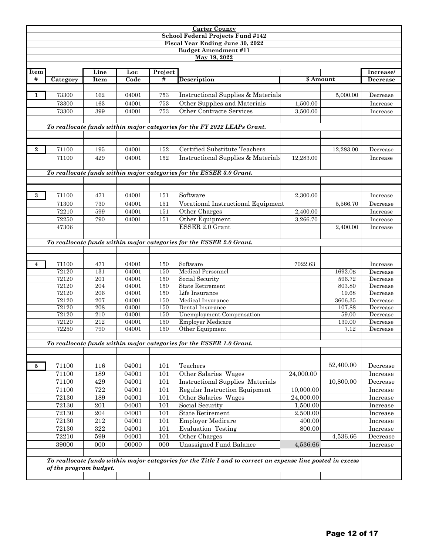|                |                        |         |       |         | <b>Carter County</b>                                                                                        |           |           |                 |
|----------------|------------------------|---------|-------|---------|-------------------------------------------------------------------------------------------------------------|-----------|-----------|-----------------|
|                |                        |         |       |         | <b>School Federal Projects Fund #142</b>                                                                    |           |           |                 |
|                |                        |         |       |         | <b>Fiscal Year Ending June 30, 2022</b>                                                                     |           |           |                 |
|                |                        |         |       |         | <b>Budget Amendment #11</b>                                                                                 |           |           |                 |
|                |                        |         |       |         | $\overline{\text{May }19,2022}$                                                                             |           |           |                 |
|                |                        |         |       |         |                                                                                                             |           |           |                 |
| Item           |                        | Line    | Loc   | Project |                                                                                                             |           |           | Increase/       |
| #              | Category               | Item    | Code  | #       | <b>Description</b>                                                                                          | \$ Amount |           | <b>Decrease</b> |
|                |                        |         |       |         |                                                                                                             |           |           |                 |
| 1              | 73300                  | 162     | 04001 | 753     | Instructional Supplies & Materials                                                                          |           | 5,000.00  | Decrease        |
|                | 73300                  | 163     | 04001 | 753     | Other Supplies and Materials                                                                                | 1,500.00  |           | Increase        |
|                | 73300                  | 399     | 04001 | 753     | Other Contracte Services                                                                                    | 3,500.00  |           | Increase        |
|                |                        |         |       |         |                                                                                                             |           |           |                 |
|                |                        |         |       |         | To reallocate funds within major categories for the FY 2022 LEAPs Grant.                                    |           |           |                 |
|                |                        |         |       |         |                                                                                                             |           |           |                 |
|                |                        |         |       |         |                                                                                                             |           |           |                 |
|                |                        |         |       |         |                                                                                                             |           |           |                 |
| $\bf{2}$       | 71100                  | 195     | 04001 | 152     | Certified Substitute Teachers                                                                               |           | 12,283.00 | Decrease        |
|                | 71100                  | 429     | 04001 | 152     | Instructional Supplies & Materials                                                                          | 12,283.00 |           | Increase        |
|                |                        |         |       |         |                                                                                                             |           |           |                 |
|                |                        |         |       |         | To reallocate funds within major categories for the ESSER 3.0 Grant.                                        |           |           |                 |
|                |                        |         |       |         |                                                                                                             |           |           |                 |
|                |                        |         |       |         |                                                                                                             |           |           |                 |
| 3              | 71100                  | 471     | 04001 | 151     | Software                                                                                                    | 2,300.00  |           | Increase        |
|                | 71300                  | 730     | 04001 | 151     | Vocational Instructional Equipment                                                                          |           | 5,566.70  | Decrease        |
|                | 72210                  | 599     | 04001 | 151     | Other Charges                                                                                               | 2,400.00  |           | Increase        |
|                | 72250                  | 790     | 04001 | 151     | Other Equipment                                                                                             | 3,266.70  |           | Increase        |
|                | 47306                  |         |       |         | ESSER 2.0 Grant                                                                                             |           | 2,400.00  | Increase        |
|                |                        |         |       |         |                                                                                                             |           |           |                 |
|                |                        |         |       |         | To reallocate funds within major categories for the ESSER 2.0 Grant.                                        |           |           |                 |
|                |                        |         |       |         |                                                                                                             |           |           |                 |
|                |                        |         |       |         |                                                                                                             |           |           |                 |
| $\overline{4}$ | 71100                  | 471     | 04001 | 150     | Software                                                                                                    | 7022.63   |           | Increase        |
|                | 72120                  | 131     | 04001 | 150     | <b>Medical Personnel</b>                                                                                    |           | 1692.08   | Decrease        |
|                | 72120                  | 201     | 04001 | 150     | Social Security                                                                                             |           | 596.72    | Decrease        |
|                | 72120                  | 204     | 04001 | 150     | <b>State Retirement</b>                                                                                     |           | 803.80    | Decrease        |
|                | 72120                  | 206     | 04001 | 150     | Life Insurance                                                                                              |           | 19.68     | Decrease        |
|                | 72120                  | 207     | 04001 | 150     | Medical Insurance                                                                                           |           | 3606.35   | Decrease        |
|                | 72120                  | 208     | 04001 | 150     | Dental Insurance                                                                                            |           | 107.88    | Decrease        |
|                | 72120                  | 210     | 04001 | 150     | Unemployment Compensation                                                                                   |           | 59.00     | Decrease        |
|                | 72120                  | 212     | 04001 | 150     | <b>Employer Medicare</b>                                                                                    |           | 130.00    | Decrease        |
|                | 72250                  | 790     | 04001 | 150     | Other Equipment                                                                                             |           | 7.12      | Decrease        |
|                |                        |         |       |         |                                                                                                             |           |           |                 |
|                |                        |         |       |         | To reallocate funds within major categories for the ESSER 1.0 Grant.                                        |           |           |                 |
|                |                        |         |       |         |                                                                                                             |           |           |                 |
|                |                        |         |       |         |                                                                                                             |           |           |                 |
| 5              | 71100                  | 116     | 04001 | 101     | Teachers                                                                                                    |           | 52,400.00 | Decrease        |
|                | 71100                  | 189     | 04001 | 101     | Other Salaries Wages                                                                                        | 24,000.00 |           | Increase        |
|                | 71100                  | 429     | 04001 | 101     | <b>Instructional Supplies Materials</b>                                                                     |           | 10,800.00 | Decrease        |
|                | 71100                  | $722\,$ | 04001 | 101     | <b>Regular Instruction Equipment</b>                                                                        | 10,000.00 |           | Increase        |
|                | 72130                  | 189     | 04001 | 101     | Other Salaries Wages                                                                                        | 24,000.00 |           | Increase        |
|                | 72130                  | 201     | 04001 | 101     | Social Security                                                                                             | 1,500.00  |           | Increase        |
|                | 72130                  | $\,204$ | 04001 | 101     | <b>State Retirement</b>                                                                                     | 2,500.00  |           | Increase        |
|                |                        |         |       |         | <b>Employer Medicare</b>                                                                                    |           |           |                 |
|                | 72130                  | 212     | 04001 | 101     |                                                                                                             | 400.00    |           | Increase        |
|                | 72130                  | 322     | 04001 | 101     | <b>Evaluation Testing</b>                                                                                   | 800.00    |           | Increase        |
|                | 72210                  | 599     | 04001 | 101     | Other Charges                                                                                               |           | 4,536.66  | Decrease        |
|                | 39000                  | 000     | 00000 | 000     | Unassigned Fund Balance                                                                                     | 4,536.66  |           | Increase        |
|                |                        |         |       |         |                                                                                                             |           |           |                 |
|                |                        |         |       |         | To reallocate funds within major categories for the Title I and to correct an expense line posted in excess |           |           |                 |
|                | of the program budget. |         |       |         |                                                                                                             |           |           |                 |
|                |                        |         |       |         |                                                                                                             |           |           |                 |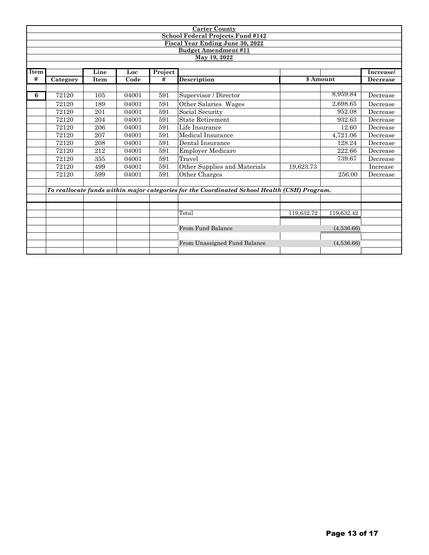|             |          |      |       |         | <b>Carter County</b>                                                                         |            |            |                 |
|-------------|----------|------|-------|---------|----------------------------------------------------------------------------------------------|------------|------------|-----------------|
|             |          |      |       |         | School Federal Projects Fund #142                                                            |            |            |                 |
|             |          |      |       |         | <b>Fiscal Year Ending June 30, 2022</b>                                                      |            |            |                 |
|             |          |      |       |         | <b>Budget Amendment #11</b>                                                                  |            |            |                 |
|             |          |      |       |         | May 19, 2022                                                                                 |            |            |                 |
|             |          |      |       |         |                                                                                              |            |            |                 |
| <b>Item</b> |          | Line | Loc   | Project |                                                                                              |            |            | Increase/       |
| #           | Category | Item | Code  | #       | <b>Description</b>                                                                           | \$ Amount  |            | <b>Decrease</b> |
|             |          |      |       |         |                                                                                              |            |            |                 |
| 6           | 72120    | 105  | 04001 | 591     | Supervisor / Director                                                                        |            | 8,959.84   | Decrease        |
|             | 72120    | 189  | 04001 | 591     | Other Salaries Wages                                                                         |            | 2,698.65   | Decrease        |
|             | 72120    | 201  | 04001 | 591     | Social Security                                                                              |            | 952.08     | Decrease        |
|             | 72120    | 204  | 04001 | 591     | <b>State Retirement</b>                                                                      |            | 932.63     | Decrease        |
|             | 72120    | 206  | 04001 | 591     | Life Insurance                                                                               |            | 12.60      | Decrease        |
|             | 72120    | 207  | 04001 | 591     | Medical Insurance                                                                            |            | 4,721.06   | Decrease        |
|             | 72120    | 208  | 04001 | 591     | Dental Insurance                                                                             |            | 128.24     | Decrease        |
|             | 72120    | 212  | 04001 | 591     | <b>Employer Medicare</b>                                                                     |            | 222.66     | Decrease        |
|             | 72120    | 355  | 04001 | 591     | Travel                                                                                       |            | 739.67     | Decrease        |
|             | 72120    | 499  | 04001 | 591     | Other Supplies and Materials                                                                 | 19,623.73  |            | Increase        |
|             | 72120    | 599  | 04001 | 591     | Other Charges                                                                                |            | 256.00     | Decrease        |
|             |          |      |       |         |                                                                                              |            |            |                 |
|             |          |      |       |         | To reallocate funds within major categories for the Coordinated School Health (CSH) Program. |            |            |                 |
|             |          |      |       |         |                                                                                              |            |            |                 |
|             |          |      |       |         |                                                                                              |            |            |                 |
|             |          |      |       |         | Total                                                                                        | 119,632.72 | 119,632.42 |                 |
|             |          |      |       |         |                                                                                              |            |            |                 |
|             |          |      |       |         | From Fund Balance                                                                            |            | (4,536.66) |                 |
|             |          |      |       |         |                                                                                              |            |            |                 |
|             |          |      |       |         | From Unassigned Fund Balance                                                                 |            | (4,536.66) |                 |
|             |          |      |       |         |                                                                                              |            |            |                 |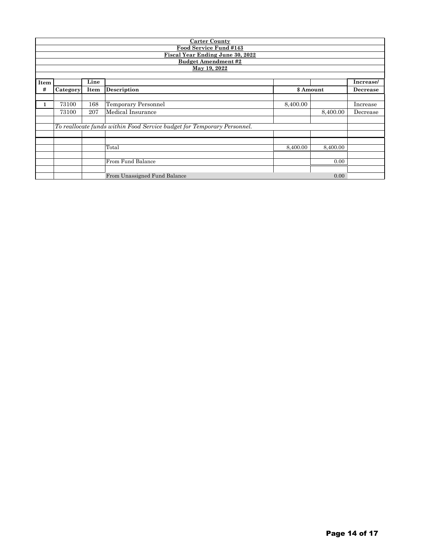|      |                            |      | <b>Carter County</b>                                                    |          |          |           |  |  |  |  |  |
|------|----------------------------|------|-------------------------------------------------------------------------|----------|----------|-----------|--|--|--|--|--|
|      |                            |      | Food Service Fund #143                                                  |          |          |           |  |  |  |  |  |
|      |                            |      | Fiscal Year Ending June 30, 2022                                        |          |          |           |  |  |  |  |  |
|      | <b>Budget Amendment #2</b> |      |                                                                         |          |          |           |  |  |  |  |  |
|      | May 19, 2022               |      |                                                                         |          |          |           |  |  |  |  |  |
|      |                            |      |                                                                         |          |          |           |  |  |  |  |  |
| Item |                            | Line |                                                                         |          |          | Increase/ |  |  |  |  |  |
| #    | Category                   | Item | \$ Amount<br>Description<br>Decrease                                    |          |          |           |  |  |  |  |  |
|      |                            |      |                                                                         |          |          |           |  |  |  |  |  |
|      | 73100                      | 168  | Temporary Personnel                                                     | 8,400.00 |          | Increase  |  |  |  |  |  |
|      | 73100                      | 207  | Medical Insurance<br>8,400.00<br>Decrease                               |          |          |           |  |  |  |  |  |
|      |                            |      |                                                                         |          |          |           |  |  |  |  |  |
|      |                            |      | To reallocate funds within Food Service budget for Temporary Personnel. |          |          |           |  |  |  |  |  |
|      |                            |      |                                                                         |          |          |           |  |  |  |  |  |
|      |                            |      |                                                                         |          |          |           |  |  |  |  |  |
|      |                            |      | Total                                                                   | 8,400.00 | 8,400.00 |           |  |  |  |  |  |
|      |                            |      |                                                                         |          |          |           |  |  |  |  |  |
|      |                            |      | From Fund Balance                                                       |          | 0.00     |           |  |  |  |  |  |
|      |                            |      |                                                                         |          |          |           |  |  |  |  |  |
|      |                            |      | From Unassigned Fund Balance                                            |          | 0.00     |           |  |  |  |  |  |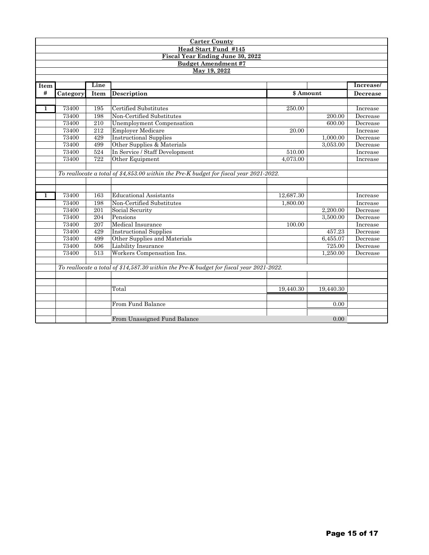| <b>Carter County</b>                    |                                                                                         |                                                  |                                                                                        |                    |           |                 |  |  |  |  |
|-----------------------------------------|-----------------------------------------------------------------------------------------|--------------------------------------------------|----------------------------------------------------------------------------------------|--------------------|-----------|-----------------|--|--|--|--|
| Head Start Fund #145                    |                                                                                         |                                                  |                                                                                        |                    |           |                 |  |  |  |  |
| <b>Fiscal Year Ending June 30, 2022</b> |                                                                                         |                                                  |                                                                                        |                    |           |                 |  |  |  |  |
| <b>Budget Amendment #7</b>              |                                                                                         |                                                  |                                                                                        |                    |           |                 |  |  |  |  |
| May 19, 2022                            |                                                                                         |                                                  |                                                                                        |                    |           |                 |  |  |  |  |
|                                         |                                                                                         |                                                  |                                                                                        |                    |           |                 |  |  |  |  |
| Item                                    | Line                                                                                    |                                                  |                                                                                        |                    |           |                 |  |  |  |  |
| #                                       | Category                                                                                | Item                                             | Description                                                                            | \$ Amount          |           | <b>Decrease</b> |  |  |  |  |
|                                         |                                                                                         |                                                  |                                                                                        |                    |           |                 |  |  |  |  |
| $\mathbf{1}$                            | 73400                                                                                   | 195                                              | Certified Substitutes                                                                  | 250.00             |           | Increase        |  |  |  |  |
|                                         | 73400                                                                                   | 198                                              | Non-Certified Substitutes                                                              |                    | 200.00    | Decrease        |  |  |  |  |
|                                         | 73400                                                                                   | 210                                              | Unemployment Compensation                                                              |                    | 600.00    | Decrease        |  |  |  |  |
|                                         | 73400                                                                                   | 212                                              | <b>Employer Medicare</b>                                                               | $\overline{20.00}$ |           | Increase        |  |  |  |  |
|                                         | 73400                                                                                   | <b>Instructional Supplies</b><br>429<br>1,000.00 |                                                                                        |                    |           | Decrease        |  |  |  |  |
|                                         | 73400                                                                                   | 499                                              | Other Supplies & Materials                                                             |                    | 3,053.00  | Decrease        |  |  |  |  |
|                                         | 73400                                                                                   | 524                                              | In Service / Staff Development                                                         | 510.00             |           | Increase        |  |  |  |  |
|                                         | 73400                                                                                   | 722                                              | Other Equipment                                                                        | 4,073.00           |           | Increase        |  |  |  |  |
|                                         |                                                                                         |                                                  |                                                                                        |                    |           |                 |  |  |  |  |
|                                         |                                                                                         |                                                  | To reallocate a total of \$4,853.00 within the Pre-K budget for fiscal year 2021-2022. |                    |           |                 |  |  |  |  |
|                                         |                                                                                         |                                                  |                                                                                        |                    |           |                 |  |  |  |  |
|                                         |                                                                                         |                                                  |                                                                                        |                    |           |                 |  |  |  |  |
| $\mathbf{1}$                            | 73400                                                                                   | 163                                              | <b>Educational Assistants</b>                                                          | 12,687.30          |           | Increase        |  |  |  |  |
|                                         | 73400                                                                                   | 198                                              | Non-Certified Substitutes                                                              | 1,800.00           |           | Increase        |  |  |  |  |
|                                         | 73400                                                                                   | 201                                              | Social Security                                                                        |                    | 2.200.00  | Decrease        |  |  |  |  |
|                                         | 73400                                                                                   | 204                                              | Pensions                                                                               |                    | 3,500.00  | Decrease        |  |  |  |  |
|                                         | 73400                                                                                   | 207                                              | Medical Insurance                                                                      | 100.00             |           | Increase        |  |  |  |  |
|                                         | 73400                                                                                   | 429                                              | <b>Instructional Supplies</b>                                                          |                    | 457.23    | Decrease        |  |  |  |  |
|                                         | 73400                                                                                   | 499                                              | Other Supplies and Materials                                                           |                    | 6,455.07  | Decrease        |  |  |  |  |
|                                         | 73400                                                                                   | 506                                              | Liability Insurance                                                                    |                    | 725.00    | Decrease        |  |  |  |  |
|                                         | 73400                                                                                   | 513                                              | Workers Compensation Ins.                                                              |                    | 1.250.00  | Decrease        |  |  |  |  |
|                                         |                                                                                         |                                                  |                                                                                        |                    |           |                 |  |  |  |  |
|                                         | To reallocate a total of \$14,587.30 within the Pre-K budget for fiscal year 2021-2022. |                                                  |                                                                                        |                    |           |                 |  |  |  |  |
|                                         |                                                                                         |                                                  |                                                                                        |                    |           |                 |  |  |  |  |
|                                         |                                                                                         |                                                  |                                                                                        |                    |           |                 |  |  |  |  |
|                                         |                                                                                         |                                                  | Total                                                                                  | 19,440.30          | 19,440.30 |                 |  |  |  |  |
|                                         |                                                                                         |                                                  |                                                                                        |                    |           |                 |  |  |  |  |
|                                         |                                                                                         |                                                  | From Fund Balance                                                                      |                    | 0.00      |                 |  |  |  |  |
|                                         |                                                                                         |                                                  |                                                                                        |                    |           |                 |  |  |  |  |
|                                         | From Unassigned Fund Balance<br>0.00                                                    |                                                  |                                                                                        |                    |           |                 |  |  |  |  |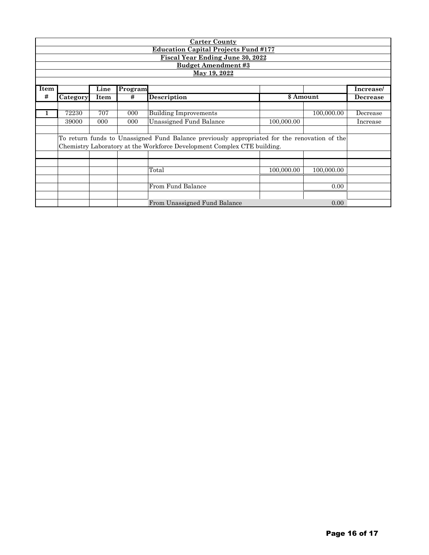| <b>Carter County</b>                        |                                                                         |      |         |                                                                                              |            |            |                 |  |  |
|---------------------------------------------|-------------------------------------------------------------------------|------|---------|----------------------------------------------------------------------------------------------|------------|------------|-----------------|--|--|
| <b>Education Capital Projects Fund #177</b> |                                                                         |      |         |                                                                                              |            |            |                 |  |  |
| <b>Fiscal Year Ending June 30, 2022</b>     |                                                                         |      |         |                                                                                              |            |            |                 |  |  |
|                                             | <b>Budget Amendment #3</b>                                              |      |         |                                                                                              |            |            |                 |  |  |
|                                             |                                                                         |      |         | May 19, 2022                                                                                 |            |            |                 |  |  |
|                                             |                                                                         |      |         |                                                                                              |            |            |                 |  |  |
| Item                                        |                                                                         | Line | Program |                                                                                              |            |            | Increase/       |  |  |
| #                                           | Category                                                                | Item | #       | <b>Description</b>                                                                           |            | \$ Amount  | <b>Decrease</b> |  |  |
|                                             |                                                                         |      |         |                                                                                              |            |            |                 |  |  |
|                                             | 72230                                                                   | 707  | 000     | <b>Building Improvements</b>                                                                 |            | 100,000.00 | Decrease        |  |  |
|                                             | 39000                                                                   | 000  | 000     | <b>Unassigned Fund Balance</b>                                                               | 100,000.00 |            | Increase        |  |  |
|                                             |                                                                         |      |         |                                                                                              |            |            |                 |  |  |
|                                             |                                                                         |      |         | To return funds to Unassigned Fund Balance previously appropriated for the renovation of the |            |            |                 |  |  |
|                                             | Chemistry Laboratory at the Workforce Development Complex CTE building. |      |         |                                                                                              |            |            |                 |  |  |
|                                             |                                                                         |      |         |                                                                                              |            |            |                 |  |  |
|                                             |                                                                         |      |         |                                                                                              |            |            |                 |  |  |
|                                             |                                                                         |      |         | Total                                                                                        | 100,000.00 | 100,000.00 |                 |  |  |
|                                             |                                                                         |      |         |                                                                                              |            |            |                 |  |  |
|                                             |                                                                         |      |         | From Fund Balance                                                                            |            | 0.00       |                 |  |  |
|                                             |                                                                         |      |         |                                                                                              |            |            |                 |  |  |
|                                             |                                                                         |      |         | From Unassigned Fund Balance                                                                 |            | 0.00       |                 |  |  |